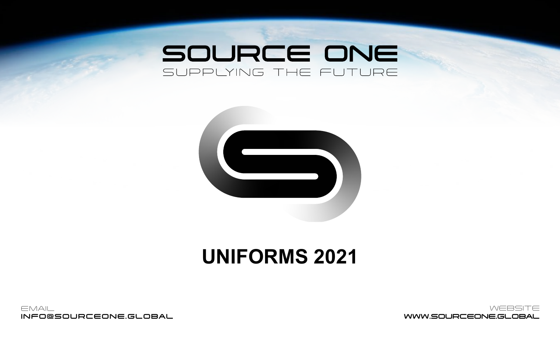# SOURCE ONE SUPPLYING THE FUTURE



# **UNIFORMS 2021**



 WEBSITE WWW.SOURCEONE.GLOBAL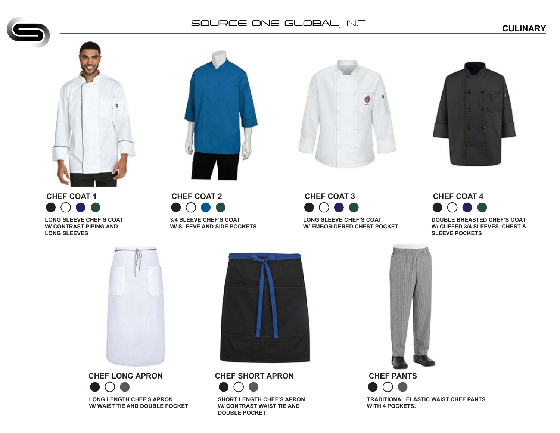**CULINARY**





**CHEF COAT 1 LONG SLEEVE CHEF'S COAT**

**W/ CONTRAST PIPING AND LONG SLEEVES**

**CHEF COAT 2 3/4 SLEEVE CHEF'S COAT W/ SLEEVE AND SIDE POCKETS**





**CHEF COAT 3 LONG SLEEVE CHEF'S COAT W/ EMBORIDERED CHEST POCKET**

# **CHEF COAT 4 DOUBLE BREASTED CHEF'S COAT W/ CUFFED 3/4 SLEEVES, CHEST & SLEEVE POCKETS**



**CHEF LONG APRON**  $\bullet$   $\circ$   $\bullet$ **LONG LENGTH CHEF'S APRON W/ WAIST TIE AND DOUBLE POCKET**



**CHEF SHORT APRON**



**SHORT LENGTH CHEF'S APRON W/ CONTRAST WAIST TIE AND DOUBLE POCKET**



**TRADITIONAL ELASTIC WAIST CHEF PANTS WITH 4 POCKETS.**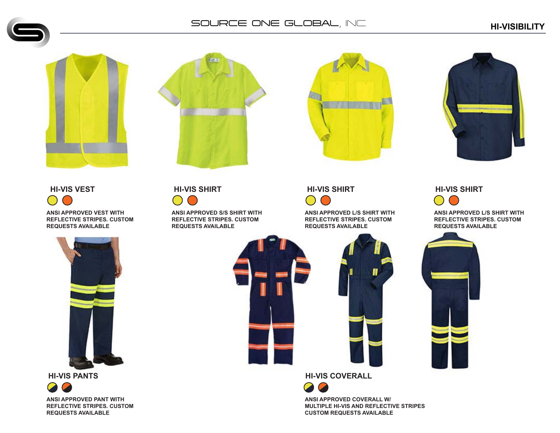







**ANSI APPROVED VEST WITH REFLECTIVE STRIPES. CUSTOM REQUESTS AVAILABLE**



**HI-VIS PANTS**



**ANSI APPROVED S/S SHIRT WITH REFLECTIVE STRIPES. CUSTOM REQUESTS AVAILABLE**

**HI-VIS VEST HI-VIS SHIRT HI-VIS SHIRT HI-VIS SHIRT**

**ANSI APPROVED L/S SHIRT WITH REFLECTIVE STRIPES. CUSTOM REQUESTS AVAILABLE**



**HI-VIS COVERALL**



**ANSI APPROVED COVERALL W/ MULTIPLE HI-VIS AND REFLECTIVE STRIPES CUSTOM REQUESTS AVAILABLE**

**ANSI APPROVED L/S SHIRT WITH REFLECTIVE STRIPES. CUSTOM REQUESTS AVAILABLE**

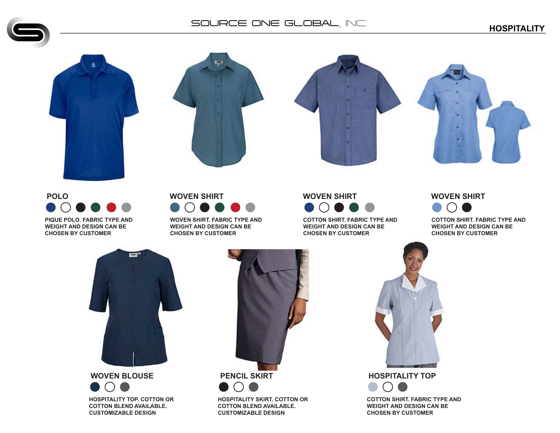# **HOSPITALITY** SOURCE ONE GLOBAL, INC.







**POLO PIQUE POLO. FABRIC TYPE AND WEIGHT AND DESIGN CAN BE**

**CHOSEN BY CUSTOMER**

# **WOVEN SHIRT**

**WOVEN SHIRT. FABRIC TYPE AND WEIGHT AND DESIGN CAN BE CHOSEN BY CUSTOMER**



**COTTON SHIRT. FABRIC TYPE AND WEIGHT AND DESIGN CAN BE CHOSEN BY CUSTOMER**

# **WOVEN SHIRT**



**COTTON SHIRT. FABRIC TYPE AND WEIGHT AND DESIGN CAN BE CHOSEN BY CUSTOMER**



#### **WOVEN BLOUSE**

 $\bullet$   $\circ$   $\bullet$ **HOSPITALITY TOP. COTTON OR COTTON BLEND AVAILABLE. CUSTOMIZABLE DESIGN**



**HOSPITALITY SKIRT. COTTON OR COTTON BLEND AVAILABLE. CUSTOMIZABLE DESIGN**



**COTTON SHIRT. FABRIC TYPE AND WEIGHT AND DESIGN CAN BE CHOSEN BY CUSTOMER**

 $\bigcap$ 

 $\Box$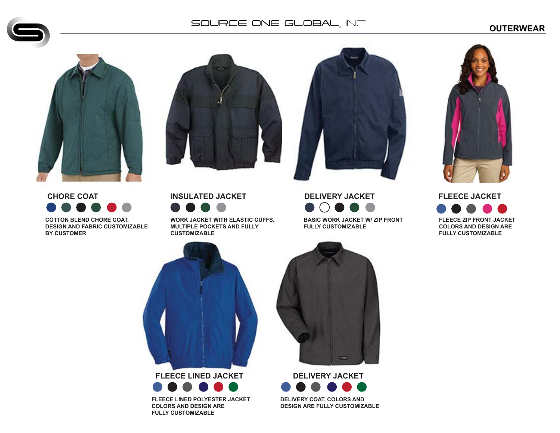# **OUTERWEAR** SOURCE ONE GLOBAL, INC.









**DELIVERY JACKET BASIC WORK JACKET W/ ZIP FRONT**



**CHORE COAT**

**COTTON BLEND CHORE COAT. DESIGN AND FABRIC CUSTOMIZABLE BY CUSTOMER**



**WORK JACKET WITH ELASTIC CUFFS, MULTIPLE POCKETS AND FULLY CUSTOMIZABLE**





**FLEECE LINED JACKET**



**FLEECE LINED POLYESTER JACKET COLORS AND DESIGN ARE FULLY CUSTOMIZABLE**



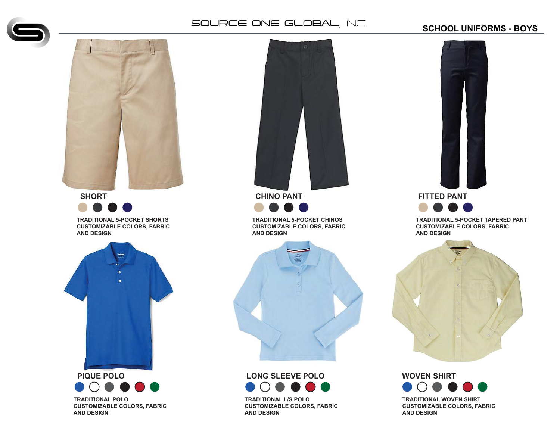

# **SCHOOL UNIFORMS - BOYS**



**SHORT**

**TRADITIONAL 5-POCKET SHORTS CUSTOMIZABLE COLORS, FABRIC AND DESIGN**



 $\bullet$   $\circ$   $\bullet$   $\bullet$ **TRADITIONAL POLO CUSTOMIZABLE COLORS, FABRIC AND DESIGN**



**TRADITIONAL 5-POCKET CHINOS CUSTOMIZABLE COLORS, FABRIC AND DESIGN**



# **LONG SLEEVE POLO**  $\bullet$   $\circ$   $\bullet$   $\bullet$   $\bullet$

**TRADITIONAL L/S POLO CUSTOMIZABLE COLORS, FABRIC AND DESIGN**



**TRADITIONAL 5-POCKET TAPERED PANT CUSTOMIZABLE COLORS, FABRIC AND DESIGN**



**WOVEN SHIRT**  $\bullet$   $\circ$   $\bullet$   $\bullet$ **TRADITIONAL WOVEN SHIRT CUSTOMIZABLE COLORS, FABRIC AND DESIGN**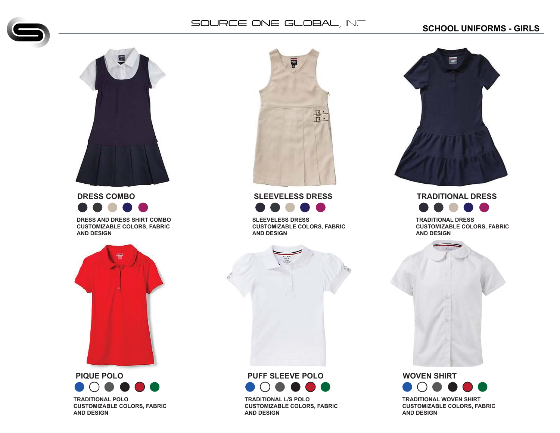### **SCHOOL UNIFORMS - GIRLS**



**DRESS COMBO DRESS AND DRESS SHIRT COMBO**

**CUSTOMIZABLE COLORS, FABRIC AND DESIGN**



**PIQUE POLO**  $\bullet$   $\circ$   $\bullet$   $\bullet$ **TRADITIONAL POLO CUSTOMIZABLE COLORS, FABRIC AND DESIGN**



**SLEEVELESS DRESS**

**SLEEVELESS DRESS CUSTOMIZABLE COLORS, FABRIC AND DESIGN**





**TRADITIONAL L/S POLO CUSTOMIZABLE COLORS, FABRIC AND DESIGN**



**TRADITIONAL DRESS**

**TRADITIONAL DRESS CUSTOMIZABLE COLORS, FABRIC AND DESIGN**



#### **WOVEN SHIRT**  $\bullet$   $\circ$   $\bullet$ **TRADITIONAL WOVEN SHIRT CUSTOMIZABLE COLORS, FABRIC AND DESIGN**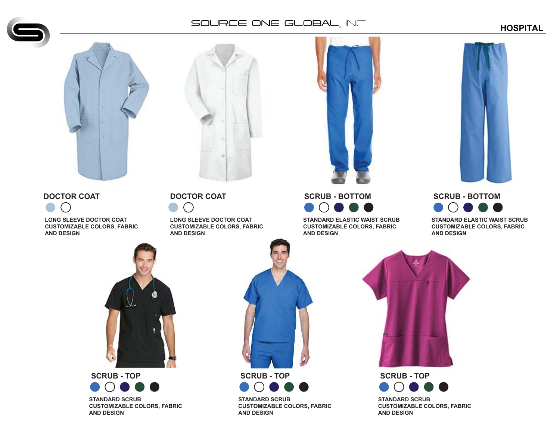





#### **DOCTOR COAT**

 $\bullet$  $\bigcap$ 

**LONG SLEEVE DOCTOR COAT CUSTOMIZABLE COLORS, FABRIC AND DESIGN**

# **DOCTOR COAT**

 $\bigcap$ **LONG SLEEVE DOCTOR COAT CUSTOMIZABLE COLORS, FABRIC**



**STANDARD ELASTIC WAIST SCRUB CUSTOMIZABLE COLORS, FABRIC AND DESIGN**



**STANDARD ELASTIC WAIST SCRUB CUSTOMIZABLE COLORS, FABRIC AND DESIGN**



# SCRUB - TOP<br>**O**OOO **STANDARD SCRUB**

**CUSTOMIZABLE COLORS, FABRIC AND DESIGN**



**STANDARD SCRUB CUSTOMIZABLE COLORS, FABRIC AND DESIGN**



 $\bigcirc$   $\bullet$  (  $\blacksquare$ **STANDARD SCRUB CUSTOMIZABLE COLORS, FABRIC AND DESIGN**

# **HOSPITAL**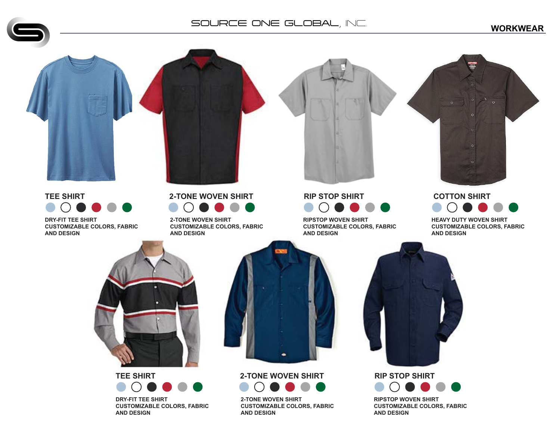**WORKWEAR**